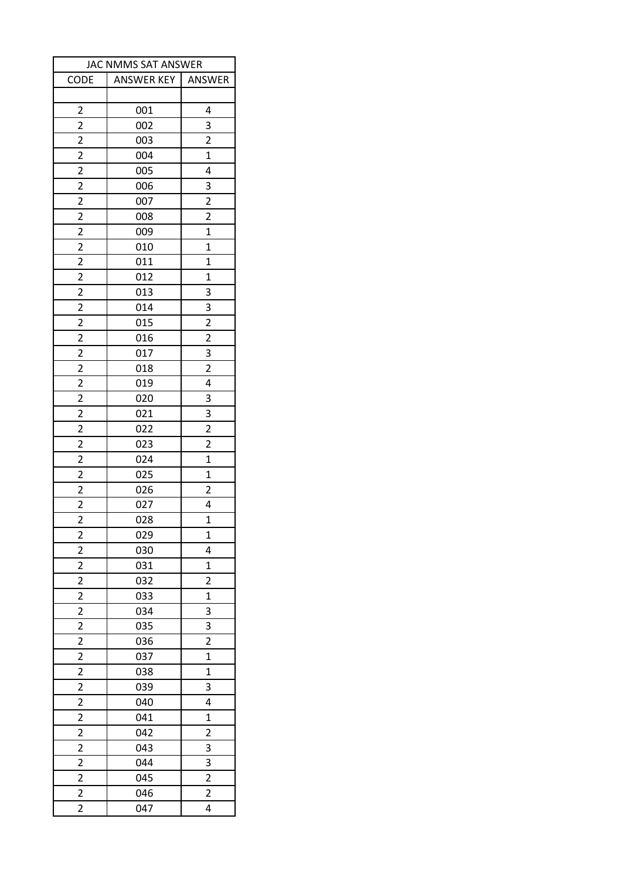| JAC NMMS SAT ANSWER     |                   |                         |  |
|-------------------------|-------------------|-------------------------|--|
| CODE                    | <b>ANSWER KEY</b> | ANSWER                  |  |
|                         |                   |                         |  |
| $\overline{2}$          | 001               | 4                       |  |
| $\overline{2}$          | 002               | 3                       |  |
| 2                       | 003               | $\overline{2}$          |  |
| $\overline{\mathbf{c}}$ | 004               | $\mathbf{1}$            |  |
| $\overline{2}$          | 005               | 4                       |  |
| $\overline{2}$          | 006               | 3                       |  |
| $\overline{c}$          | 007               | $\overline{\mathbf{c}}$ |  |
| $\overline{2}$          | 008               | $\overline{2}$          |  |
| 2                       | 009               | $\mathbf{1}$            |  |
| $\overline{c}$          | 010               | $\mathbf{1}$            |  |
| $\overline{2}$          | 011               | $\overline{1}$          |  |
| 2                       | 012               | 1                       |  |
| $\overline{2}$          | 013               | 3                       |  |
| $\overline{2}$          | 014               | 3                       |  |
| $\overline{2}$          | 015               | $\overline{2}$          |  |
| $\overline{2}$          | 016               | $\overline{2}$          |  |
| $\overline{2}$          | 017               | 3                       |  |
| $\overline{2}$          | 018               | $\overline{2}$          |  |
| $\overline{2}$          | 019               | $\overline{4}$          |  |
| $\overline{2}$          | 020               | 3                       |  |
| $\overline{2}$          | 021               | 3                       |  |
| $\overline{2}$          | 022               | $\overline{2}$          |  |
| $\overline{\mathbf{c}}$ | 023               | 2                       |  |
| $\overline{\mathbf{c}}$ | 024               | $\overline{1}$          |  |
| $\overline{2}$          | 025               | $\overline{1}$          |  |
| 2                       | 026               | 2                       |  |
| $\overline{2}$          | 027               | 4                       |  |
| $\overline{\mathbf{c}}$ | 028               | $\overline{1}$          |  |
| $\overline{\mathbf{c}}$ | 029               | $\mathbf 1$             |  |
| $\overline{2}$          | 030               | 4                       |  |
| $\overline{2}$          | 031               | $\mathbf{1}$            |  |
| $\overline{2}$          | 032               | $\overline{2}$          |  |
| $\overline{2}$          | 033               | $\mathbf{1}$            |  |
| $\overline{2}$          | 034               | 3                       |  |
| $\overline{\mathbf{c}}$ | 035               | 3                       |  |
| $\overline{2}$          | 036               | $\overline{2}$          |  |
| $\overline{2}$          | 037               | $\mathbf{1}$            |  |
| $\overline{2}$          | 038               | $\mathbf{1}$            |  |
| $\overline{2}$          | 039               | 3                       |  |
| $\overline{c}$          | 040               | 4                       |  |
| $\overline{2}$          | 041               | $\mathbf{1}$            |  |
| $\overline{\mathbf{c}}$ | 042               | $\overline{\mathbf{c}}$ |  |
| 2                       | 043               | 3                       |  |
| $\overline{c}$          | 044               | 3                       |  |
| $\overline{c}$          | 045               | $\overline{c}$          |  |
| $\overline{2}$          | 046               | $\overline{2}$          |  |
| $\overline{2}$          | 047               | 4                       |  |